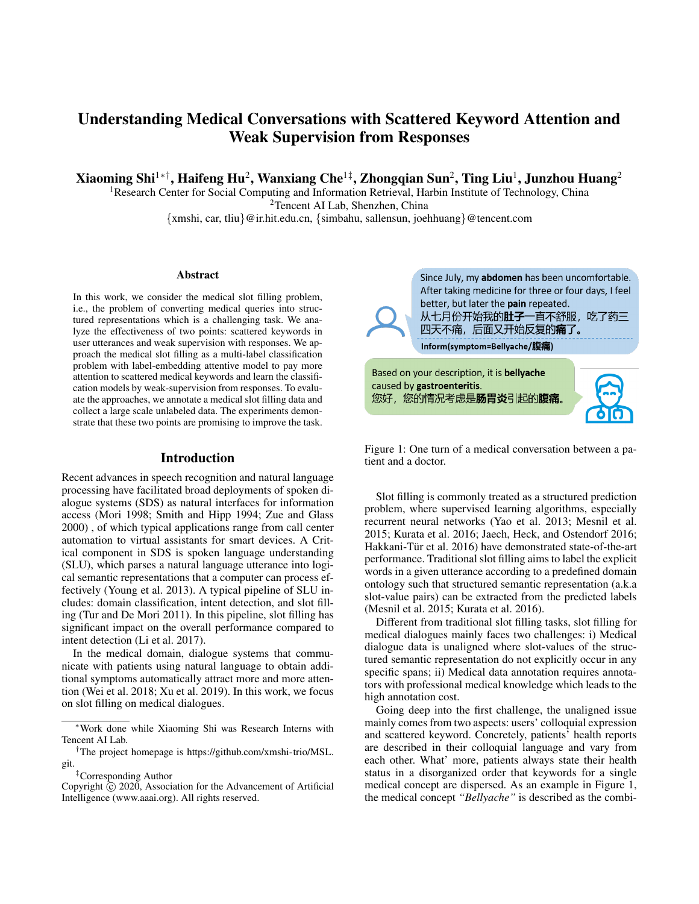# Understanding Medical Conversations with Scattered Keyword Attention and Weak Supervision from Responses

Xiaoming Shi $^{1* \dagger},$  Haifeng Hu $^2$ , Wanxiang Che $^{1\ddagger},$  Zhongqian Sun $^2,$  Ting Liu $^1,$  Junzhou Huang $^2$ 

<sup>1</sup>Research Center for Social Computing and Information Retrieval, Harbin Institute of Technology, China <sup>2</sup>Tencent AI Lab, Shenzhen, China

{xmshi, car, tliu}@ir.hit.edu.cn, {simbahu, sallensun, joehhuang}@tencent.com

#### Abstract

In this work, we consider the medical slot filling problem, i.e., the problem of converting medical queries into structured representations which is a challenging task. We analyze the effectiveness of two points: scattered keywords in user utterances and weak supervision with responses. We approach the medical slot filling as a multi-label classification problem with label-embedding attentive model to pay more attention to scattered medical keywords and learn the classification models by weak-supervision from responses. To evaluate the approaches, we annotate a medical slot filling data and collect a large scale unlabeled data. The experiments demonstrate that these two points are promising to improve the task.

### Introduction

Recent advances in speech recognition and natural language processing have facilitated broad deployments of spoken dialogue systems (SDS) as natural interfaces for information access (Mori 1998; Smith and Hipp 1994; Zue and Glass 2000) , of which typical applications range from call center automation to virtual assistants for smart devices. A Critical component in SDS is spoken language understanding (SLU), which parses a natural language utterance into logical semantic representations that a computer can process effectively (Young et al. 2013). A typical pipeline of SLU includes: domain classification, intent detection, and slot filling (Tur and De Mori 2011). In this pipeline, slot filling has significant impact on the overall performance compared to intent detection (Li et al. 2017).

In the medical domain, dialogue systems that communicate with patients using natural language to obtain additional symptoms automatically attract more and more attention (Wei et al. 2018; Xu et al. 2019). In this work, we focus on slot filling on medical dialogues.

Since July, my abdomen has been uncomfortable. After taking medicine for three or four days, I feel better, but later the pain repeated. 从七月份开始我的**肚子**一直不舒服,吃了药三 四天不痛,后面又开始反复的**痛**了。 Inform(symptom=Bellyache/腹痛)

Based on your description, it is bellyache caused by gastroenteritis. 您好,您的情况考虑是肠胃炎引起的腹痛。



Figure 1: One turn of a medical conversation between a patient and a doctor.

Slot filling is commonly treated as a structured prediction problem, where supervised learning algorithms, especially recurrent neural networks (Yao et al. 2013; Mesnil et al. 2015; Kurata et al. 2016; Jaech, Heck, and Ostendorf 2016; Hakkani-Tür et al. 2016) have demonstrated state-of-the-art performance. Traditional slot filling aims to label the explicit words in a given utterance according to a predefined domain ontology such that structured semantic representation (a.k.a slot-value pairs) can be extracted from the predicted labels (Mesnil et al. 2015; Kurata et al. 2016).

Different from traditional slot filling tasks, slot filling for medical dialogues mainly faces two challenges: i) Medical dialogue data is unaligned where slot-values of the structured semantic representation do not explicitly occur in any specific spans; ii) Medical data annotation requires annotators with professional medical knowledge which leads to the high annotation cost.

Going deep into the first challenge, the unaligned issue mainly comes from two aspects: users' colloquial expression and scattered keyword. Concretely, patients' health reports are described in their colloquial language and vary from each other. What' more, patients always state their health status in a disorganized order that keywords for a single medical concept are dispersed. As an example in Figure 1, the medical concept *"Bellyache"* is described as the combi-

<sup>∗</sup>Work done while Xiaoming Shi was Research Interns with Tencent AI Lab.

<sup>†</sup>The project homepage is https://github.com/xmshi-trio/MSL. git.

<sup>‡</sup>Corresponding Author

Copyright  $\overline{c}$  2020, Association for the Advancement of Artificial Intelligence (www.aaai.org). All rights reserved.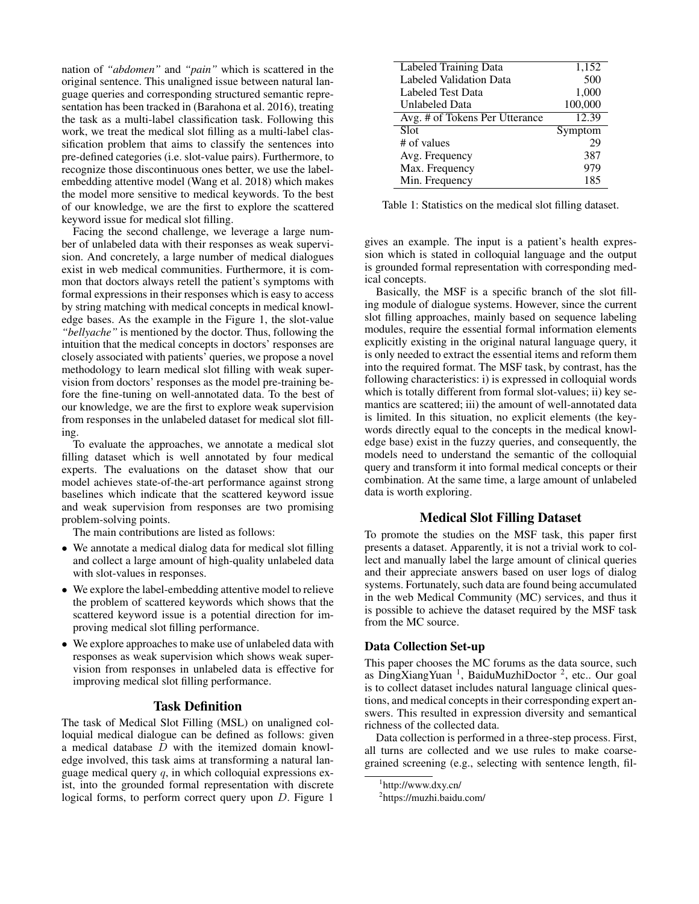nation of *"abdomen"* and *"pain"* which is scattered in the original sentence. This unaligned issue between natural language queries and corresponding structured semantic representation has been tracked in (Barahona et al. 2016), treating the task as a multi-label classification task. Following this work, we treat the medical slot filling as a multi-label classification problem that aims to classify the sentences into pre-defined categories (i.e. slot-value pairs). Furthermore, to recognize those discontinuous ones better, we use the labelembedding attentive model (Wang et al. 2018) which makes the model more sensitive to medical keywords. To the best of our knowledge, we are the first to explore the scattered keyword issue for medical slot filling.

Facing the second challenge, we leverage a large number of unlabeled data with their responses as weak supervision. And concretely, a large number of medical dialogues exist in web medical communities. Furthermore, it is common that doctors always retell the patient's symptoms with formal expressions in their responses which is easy to access by string matching with medical concepts in medical knowledge bases. As the example in the Figure 1, the slot-value *"bellyache"* is mentioned by the doctor. Thus, following the intuition that the medical concepts in doctors' responses are closely associated with patients' queries, we propose a novel methodology to learn medical slot filling with weak supervision from doctors' responses as the model pre-training before the fine-tuning on well-annotated data. To the best of our knowledge, we are the first to explore weak supervision from responses in the unlabeled dataset for medical slot filling.

To evaluate the approaches, we annotate a medical slot filling dataset which is well annotated by four medical experts. The evaluations on the dataset show that our model achieves state-of-the-art performance against strong baselines which indicate that the scattered keyword issue and weak supervision from responses are two promising problem-solving points.

The main contributions are listed as follows:

- We annotate a medical dialog data for medical slot filling and collect a large amount of high-quality unlabeled data with slot-values in responses.
- We explore the label-embedding attentive model to relieve the problem of scattered keywords which shows that the scattered keyword issue is a potential direction for improving medical slot filling performance.
- We explore approaches to make use of unlabeled data with responses as weak supervision which shows weak supervision from responses in unlabeled data is effective for improving medical slot filling performance.

# Task Definition

The task of Medical Slot Filling (MSL) on unaligned colloquial medical dialogue can be defined as follows: given a medical database  $D$  with the itemized domain knowledge involved, this task aims at transforming a natural language medical query  $q$ , in which colloquial expressions exist, into the grounded formal representation with discrete logical forms, to perform correct query upon D. Figure 1

| 1,152   |
|---------|
| 500     |
| 1,000   |
| 100,000 |
| 12.39   |
| Symptom |
| 29      |
| 387     |
| 979     |
| 185     |
|         |

Table 1: Statistics on the medical slot filling dataset.

gives an example. The input is a patient's health expression which is stated in colloquial language and the output is grounded formal representation with corresponding medical concepts.

Basically, the MSF is a specific branch of the slot filling module of dialogue systems. However, since the current slot filling approaches, mainly based on sequence labeling modules, require the essential formal information elements explicitly existing in the original natural language query, it is only needed to extract the essential items and reform them into the required format. The MSF task, by contrast, has the following characteristics: i) is expressed in colloquial words which is totally different from formal slot-values; ii) key semantics are scattered; iii) the amount of well-annotated data is limited. In this situation, no explicit elements (the keywords directly equal to the concepts in the medical knowledge base) exist in the fuzzy queries, and consequently, the models need to understand the semantic of the colloquial query and transform it into formal medical concepts or their combination. At the same time, a large amount of unlabeled data is worth exploring.

### Medical Slot Filling Dataset

To promote the studies on the MSF task, this paper first presents a dataset. Apparently, it is not a trivial work to collect and manually label the large amount of clinical queries and their appreciate answers based on user logs of dialog systems. Fortunately, such data are found being accumulated in the web Medical Community (MC) services, and thus it is possible to achieve the dataset required by the MSF task from the MC source.

### Data Collection Set-up

This paper chooses the MC forums as the data source, such as DingXiangYuan<sup>1</sup>, BaiduMuzhiDoctor<sup>2</sup>, etc.. Our goal is to collect dataset includes natural language clinical questions, and medical concepts in their corresponding expert answers. This resulted in expression diversity and semantical richness of the collected data.

Data collection is performed in a three-step process. First, all turns are collected and we use rules to make coarsegrained screening (e.g., selecting with sentence length, fil-

<sup>1</sup> http://www.dxy.cn/

<sup>&</sup>lt;sup>2</sup>https://muzhi.baidu.com/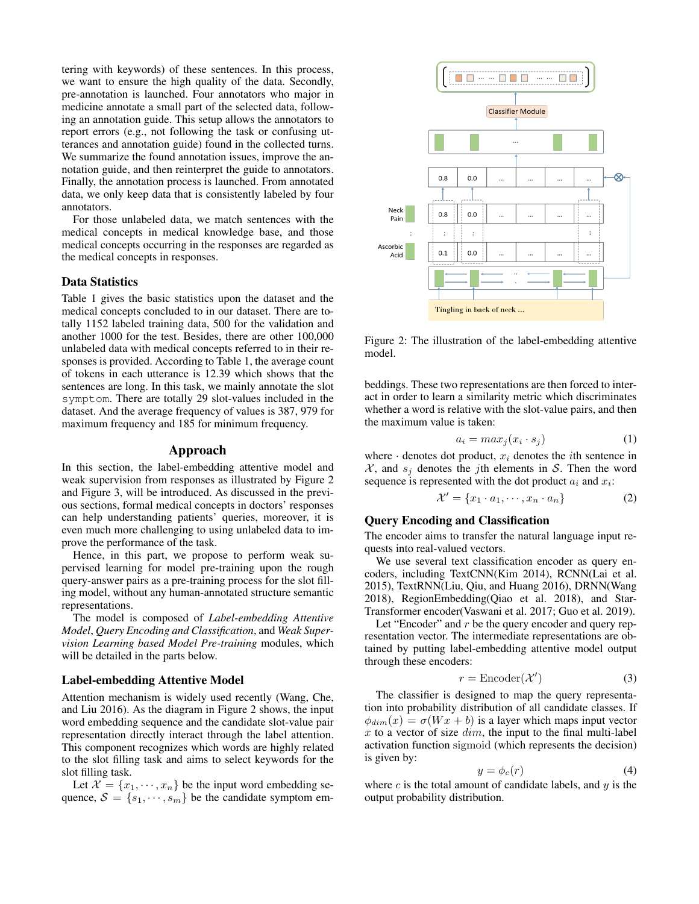tering with keywords) of these sentences. In this process, we want to ensure the high quality of the data. Secondly, pre-annotation is launched. Four annotators who major in medicine annotate a small part of the selected data, following an annotation guide. This setup allows the annotators to report errors (e.g., not following the task or confusing utterances and annotation guide) found in the collected turns. We summarize the found annotation issues, improve the annotation guide, and then reinterpret the guide to annotators. Finally, the annotation process is launched. From annotated data, we only keep data that is consistently labeled by four annotators.

For those unlabeled data, we match sentences with the medical concepts in medical knowledge base, and those medical concepts occurring in the responses are regarded as the medical concepts in responses.

### Data Statistics

Table 1 gives the basic statistics upon the dataset and the medical concepts concluded to in our dataset. There are totally 1152 labeled training data, 500 for the validation and another 1000 for the test. Besides, there are other 100,000 unlabeled data with medical concepts referred to in their responses is provided. According to Table 1, the average count of tokens in each utterance is 12.39 which shows that the sentences are long. In this task, we mainly annotate the slot symptom. There are totally 29 slot-values included in the dataset. And the average frequency of values is 387, 979 for maximum frequency and 185 for minimum frequency.

#### Approach

In this section, the label-embedding attentive model and weak supervision from responses as illustrated by Figure 2 and Figure 3, will be introduced. As discussed in the previous sections, formal medical concepts in doctors' responses can help understanding patients' queries, moreover, it is even much more challenging to using unlabeled data to improve the performance of the task.

Hence, in this part, we propose to perform weak supervised learning for model pre-training upon the rough query-answer pairs as a pre-training process for the slot filling model, without any human-annotated structure semantic representations.

The model is composed of *Label-embedding Attentive Model*, *Query Encoding and Classification*, and *Weak Supervision Learning based Model Pre-training* modules, which will be detailed in the parts below.

#### Label-embedding Attentive Model

Attention mechanism is widely used recently (Wang, Che, and Liu 2016). As the diagram in Figure 2 shows, the input word embedding sequence and the candidate slot-value pair representation directly interact through the label attention. This component recognizes which words are highly related to the slot filling task and aims to select keywords for the slot filling task.

Let  $\mathcal{X} = \{x_1, \dots, x_n\}$  be the input word embedding sequence,  $S = \{s_1, \dots, s_m\}$  be the candidate symptom em-



Figure 2: The illustration of the label-embedding attentive model.

beddings. These two representations are then forced to interact in order to learn a similarity metric which discriminates whether a word is relative with the slot-value pairs, and then the maximum value is taken:

$$
a_i = max_j(x_i \cdot s_j) \tag{1}
$$

where  $\cdot$  denotes dot product,  $x_i$  denotes the *i*th sentence in  $X$ , and  $s_i$  denotes the jth elements in S. Then the word sequence is represented with the dot product  $a_i$  and  $x_i$ :

$$
\mathcal{X}' = \{x_1 \cdot a_1, \cdots, x_n \cdot a_n\} \tag{2}
$$

# Query Encoding and Classification

The encoder aims to transfer the natural language input requests into real-valued vectors.

We use several text classification encoder as query encoders, including TextCNN(Kim 2014), RCNN(Lai et al. 2015), TextRNN(Liu, Qiu, and Huang 2016), DRNN(Wang 2018), RegionEmbedding(Qiao et al. 2018), and Star-Transformer encoder(Vaswani et al. 2017; Guo et al. 2019).

Let "Encoder" and  $r$  be the query encoder and query representation vector. The intermediate representations are obtained by putting label-embedding attentive model output through these encoders:

$$
r = \text{Encoder}(\mathcal{X}') \tag{3}
$$

The classifier is designed to map the query representation into probability distribution of all candidate classes. If  $\phi_{dim}(x) = \sigma(Wx + b)$  is a layer which maps input vector  $x$  to a vector of size  $dim$ , the input to the final multi-label activation function sigmoid (which represents the decision) is given by:

$$
y = \phi_c(r) \tag{4}
$$

where  $c$  is the total amount of candidate labels, and  $y$  is the output probability distribution.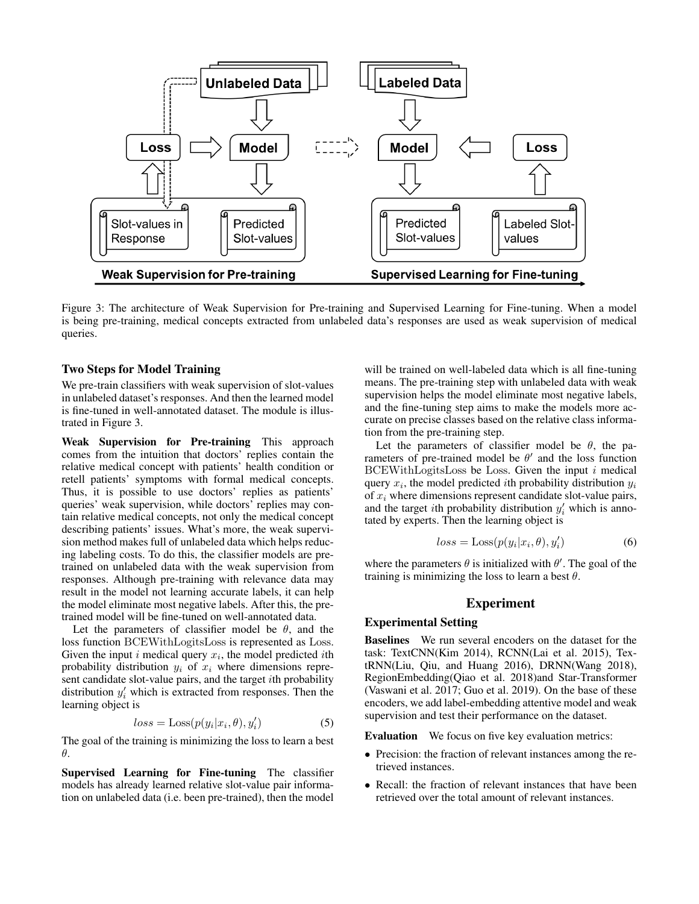

Figure 3: The architecture of Weak Supervision for Pre-training and Supervised Learning for Fine-tuning. When a model is being pre-training, medical concepts extracted from unlabeled data's responses are used as weak supervision of medical queries.

### Two Steps for Model Training

We pre-train classifiers with weak supervision of slot-values in unlabeled dataset's responses. And then the learned model is fine-tuned in well-annotated dataset. The module is illustrated in Figure 3.

Weak Supervision for Pre-training This approach comes from the intuition that doctors' replies contain the relative medical concept with patients' health condition or retell patients' symptoms with formal medical concepts. Thus, it is possible to use doctors' replies as patients' queries' weak supervision, while doctors' replies may contain relative medical concepts, not only the medical concept describing patients' issues. What's more, the weak supervision method makes full of unlabeled data which helps reducing labeling costs. To do this, the classifier models are pretrained on unlabeled data with the weak supervision from responses. Although pre-training with relevance data may result in the model not learning accurate labels, it can help the model eliminate most negative labels. After this, the pretrained model will be fine-tuned on well-annotated data.

Let the parameters of classifier model be  $\theta$ , and the loss function BCEWithLogitsLoss is represented as Loss. Given the input i medical query  $x_i$ , the model predicted ith probability distribution  $y_i$  of  $x_i$  where dimensions represent candidate slot-value pairs, and the target ith probability distribution  $y_i'$  which is extracted from responses. Then the learning object is

$$
loss = Loss(p(y_i|x_i, \theta), y'_i)
$$
\n(5)

The goal of the training is minimizing the loss to learn a best θ.

Supervised Learning for Fine-tuning The classifier models has already learned relative slot-value pair information on unlabeled data (i.e. been pre-trained), then the model

will be trained on well-labeled data which is all fine-tuning means. The pre-training step with unlabeled data with weak supervision helps the model eliminate most negative labels, and the fine-tuning step aims to make the models more accurate on precise classes based on the relative class information from the pre-training step.

Let the parameters of classifier model be  $\theta$ , the parameters of pre-trained model be  $\theta'$  and the loss function  $BCEWithLogitsLoss$  be Loss. Given the input i medical query  $x_i$ , the model predicted *i*th probability distribution  $y_i$ of  $x_i$  where dimensions represent candidate slot-value pairs, and the target *i*th probability distribution  $y_i'$  which is annotated by experts. Then the learning object is

$$
loss = Loss(p(y_i|x_i, \theta), y'_i)
$$
\n(6)

where the parameters  $\theta$  is initialized with  $\theta'$ . The goal of the training is minimizing the loss to learn a best  $\theta$ .

# Experiment

#### Experimental Setting

Baselines We run several encoders on the dataset for the task: TextCNN(Kim 2014), RCNN(Lai et al. 2015), TextRNN(Liu, Qiu, and Huang 2016), DRNN(Wang 2018), RegionEmbedding(Qiao et al. 2018)and Star-Transformer (Vaswani et al. 2017; Guo et al. 2019). On the base of these encoders, we add label-embedding attentive model and weak supervision and test their performance on the dataset.

Evaluation We focus on five key evaluation metrics:

- Precision: the fraction of relevant instances among the retrieved instances.
- Recall: the fraction of relevant instances that have been retrieved over the total amount of relevant instances.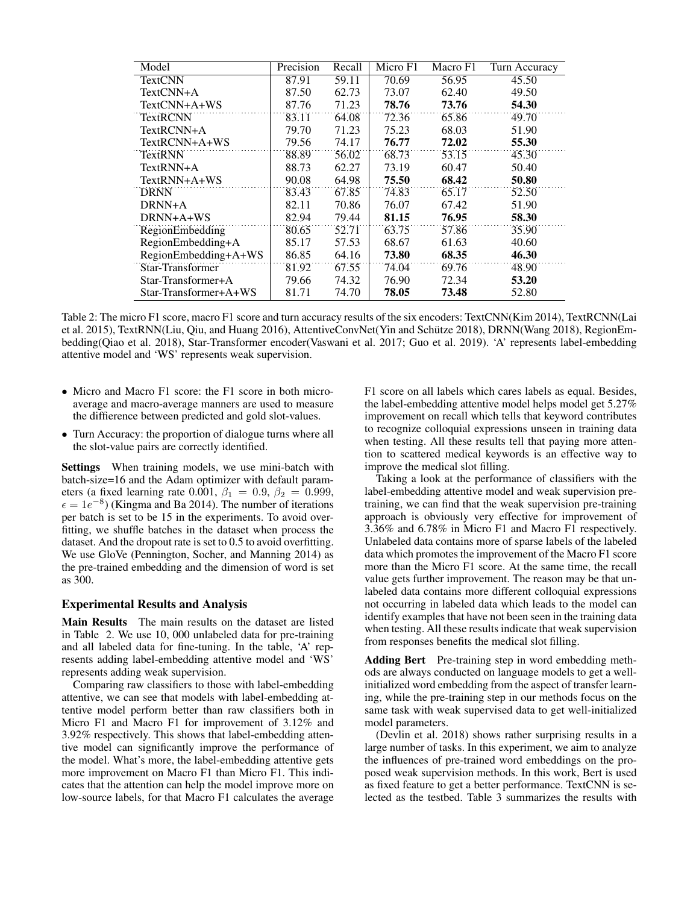| Model                  | Precision | Recall | Micro F1 | Macro F1 | Turn Accuracy |
|------------------------|-----------|--------|----------|----------|---------------|
| <b>TextCNN</b>         | 87.91     | 59.11  | 70.69    | 56.95    | 45.50         |
| $TextCNN+A$            | 87.50     | 62.73  | 73.07    | 62.40    | 49.50         |
| TextCNN+A+WS           | 87.76     | 71.23  | 78.76    | 73.76    | 54.30         |
| <b>TextRCNN</b>        | 83.11     | 64.08  | 72.36    | 65.86    | 49.70         |
| TextRCNN+A             | 79.70     | 71.23  | 75.23    | 68.03    | 51.90         |
| TextRCNN+A+WS          | 79.56     | 74.17  | 76.77    | 72.02    | 55.30         |
| <b>TextRNN</b>         | 88.89     | 56.02  | 68.73    | 53.15    | 45.30         |
| TextRNN+A              | 88.73     | 62.27  | 73.19    | 60.47    | 50.40         |
| TextRNN+A+WS           | 90.08     | 64.98  | 75.50    | 68.42    | 50.80         |
| <b>DRNN</b>            | 83.43     | 67.85  | 74.83    | 65.17    | 52.50         |
| DRNN+A                 | 82.11     | 70.86  | 76.07    | 67.42    | 51.90         |
| DRNN+A+WS              | 82.94     | 79.44  | 81.15    | 76.95    | 58.30         |
| <b>RegionEmbedding</b> | 80.65     | 52.71  | 63.75    | 57.86    | 35.90         |
| RegionEmbedding+A      | 85.17     | 57.53  | 68.67    | 61.63    | 40.60         |
| RegionEmbedding+A+WS   | 86.85     | 64.16  | 73.80    | 68.35    | 46.30         |
| Star-Transformer       | 81.92     | 67.55  | 74.04    | 69.76    | 48.90         |
| Star-Transformer+A     | 79.66     | 74.32  | 76.90    | 72.34    | 53.20         |
| Star-Transformer+A+WS  | 81.71     | 74.70  | 78.05    | 73.48    | 52.80         |

Table 2: The micro F1 score, macro F1 score and turn accuracy results of the six encoders: TextCNN(Kim 2014), TextRCNN(Lai et al. 2015), TextRNN(Liu, Qiu, and Huang 2016), AttentiveConvNet(Yin and Schutze 2018), DRNN(Wang 2018), RegionEm- ¨ bedding(Qiao et al. 2018), Star-Transformer encoder(Vaswani et al. 2017; Guo et al. 2019). 'A' represents label-embedding attentive model and 'WS' represents weak supervision.

- Micro and Macro F1 score: the F1 score in both microaverage and macro-average manners are used to measure the diffierence between predicted and gold slot-values.
- Turn Accuracy: the proportion of dialogue turns where all the slot-value pairs are correctly identified.

Settings When training models, we use mini-batch with batch-size=16 and the Adam optimizer with default parameters (a fixed learning rate 0.001,  $\beta_1 = 0.9$ ,  $\beta_2 = 0.999$ ,  $\epsilon = 1e^{-8}$ ) (Kingma and Ba 2014). The number of iterations per batch is set to be 15 in the experiments. To avoid overfitting, we shuffle batches in the dataset when process the dataset. And the dropout rate is set to 0.5 to avoid overfitting. We use GloVe (Pennington, Socher, and Manning 2014) as the pre-trained embedding and the dimension of word is set as 300.

### Experimental Results and Analysis

Main Results The main results on the dataset are listed in Table 2. We use 10, 000 unlabeled data for pre-training and all labeled data for fine-tuning. In the table, 'A' represents adding label-embedding attentive model and 'WS' represents adding weak supervision.

Comparing raw classifiers to those with label-embedding attentive, we can see that models with label-embedding attentive model perform better than raw classifiers both in Micro F1 and Macro F1 for improvement of 3.12% and 3.92% respectively. This shows that label-embedding attentive model can significantly improve the performance of the model. What's more, the label-embedding attentive gets more improvement on Macro F1 than Micro F1. This indicates that the attention can help the model improve more on low-source labels, for that Macro F1 calculates the average

F1 score on all labels which cares labels as equal. Besides, the label-embedding attentive model helps model get 5.27% improvement on recall which tells that keyword contributes to recognize colloquial expressions unseen in training data when testing. All these results tell that paying more attention to scattered medical keywords is an effective way to improve the medical slot filling.

Taking a look at the performance of classifiers with the label-embedding attentive model and weak supervision pretraining, we can find that the weak supervision pre-training approach is obviously very effective for improvement of 3.36% and 6.78% in Micro F1 and Macro F1 respectively. Unlabeled data contains more of sparse labels of the labeled data which promotes the improvement of the Macro F1 score more than the Micro F1 score. At the same time, the recall value gets further improvement. The reason may be that unlabeled data contains more different colloquial expressions not occurring in labeled data which leads to the model can identify examples that have not been seen in the training data when testing. All these results indicate that weak supervision from responses benefits the medical slot filling.

Adding Bert Pre-training step in word embedding methods are always conducted on language models to get a wellinitialized word embedding from the aspect of transfer learning, while the pre-training step in our methods focus on the same task with weak supervised data to get well-initialized model parameters.

(Devlin et al. 2018) shows rather surprising results in a large number of tasks. In this experiment, we aim to analyze the influences of pre-trained word embeddings on the proposed weak supervision methods. In this work, Bert is used as fixed feature to get a better performance. TextCNN is selected as the testbed. Table 3 summarizes the results with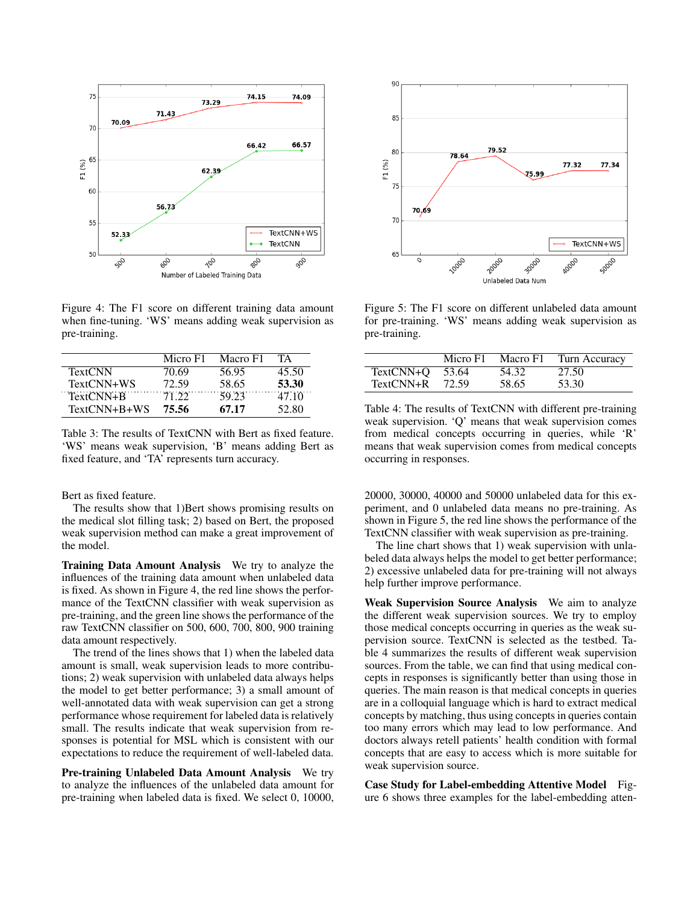

Figure 4: The F1 score on different training data amount when fine-tuning. 'WS' means adding weak supervision as pre-training.

|                | Micro F1 | Macro F1 | ТA    |
|----------------|----------|----------|-------|
| <b>TextCNN</b> | 70.69    | 56.95    | 45.50 |
| TextCNN+WS     | 72.59    | 58.65    | 53.30 |
| TextCNN+B      | 71 22    | 59.23    | 47 10 |
| TextCNN+B+WS   | 75.56    | 67.17    | 52.80 |

Table 3: The results of TextCNN with Bert as fixed feature. 'WS' means weak supervision, 'B' means adding Bert as fixed feature, and 'TA' represents turn accuracy.

#### Bert as fixed feature.

The results show that 1)Bert shows promising results on the medical slot filling task; 2) based on Bert, the proposed weak supervision method can make a great improvement of the model.

Training Data Amount Analysis We try to analyze the influences of the training data amount when unlabeled data is fixed. As shown in Figure 4, the red line shows the performance of the TextCNN classifier with weak supervision as pre-training, and the green line shows the performance of the raw TextCNN classifier on 500, 600, 700, 800, 900 training data amount respectively.

The trend of the lines shows that 1) when the labeled data amount is small, weak supervision leads to more contributions; 2) weak supervision with unlabeled data always helps the model to get better performance; 3) a small amount of well-annotated data with weak supervision can get a strong performance whose requirement for labeled data is relatively small. The results indicate that weak supervision from responses is potential for MSL which is consistent with our expectations to reduce the requirement of well-labeled data.

Pre-training Unlabeled Data Amount Analysis We try to analyze the influences of the unlabeled data amount for pre-training when labeled data is fixed. We select 0, 10000,



Figure 5: The F1 score on different unlabeled data amount for pre-training. 'WS' means adding weak supervision as pre-training.

|             | Micro F1 | Macro F1 | Turn Accuracy |
|-------------|----------|----------|---------------|
| TextCNN+Q   | 53.64    | 54.32    | 27.50         |
| $TextCNN+R$ | 72.59    | 58.65    | 53.30         |

Table 4: The results of TextCNN with different pre-training weak supervision. 'Q' means that weak supervision comes from medical concepts occurring in queries, while 'R' means that weak supervision comes from medical concepts occurring in responses.

20000, 30000, 40000 and 50000 unlabeled data for this experiment, and 0 unlabeled data means no pre-training. As shown in Figure 5, the red line shows the performance of the TextCNN classifier with weak supervision as pre-training.

The line chart shows that 1) weak supervision with unlabeled data always helps the model to get better performance; 2) excessive unlabeled data for pre-training will not always help further improve performance.

Weak Supervision Source Analysis We aim to analyze the different weak supervision sources. We try to employ those medical concepts occurring in queries as the weak supervision source. TextCNN is selected as the testbed. Table 4 summarizes the results of different weak supervision sources. From the table, we can find that using medical concepts in responses is significantly better than using those in queries. The main reason is that medical concepts in queries are in a colloquial language which is hard to extract medical concepts by matching, thus using concepts in queries contain too many errors which may lead to low performance. And doctors always retell patients' health condition with formal concepts that are easy to access which is more suitable for weak supervision source.

Case Study for Label-embedding Attentive Model Figure 6 shows three examples for the label-embedding atten-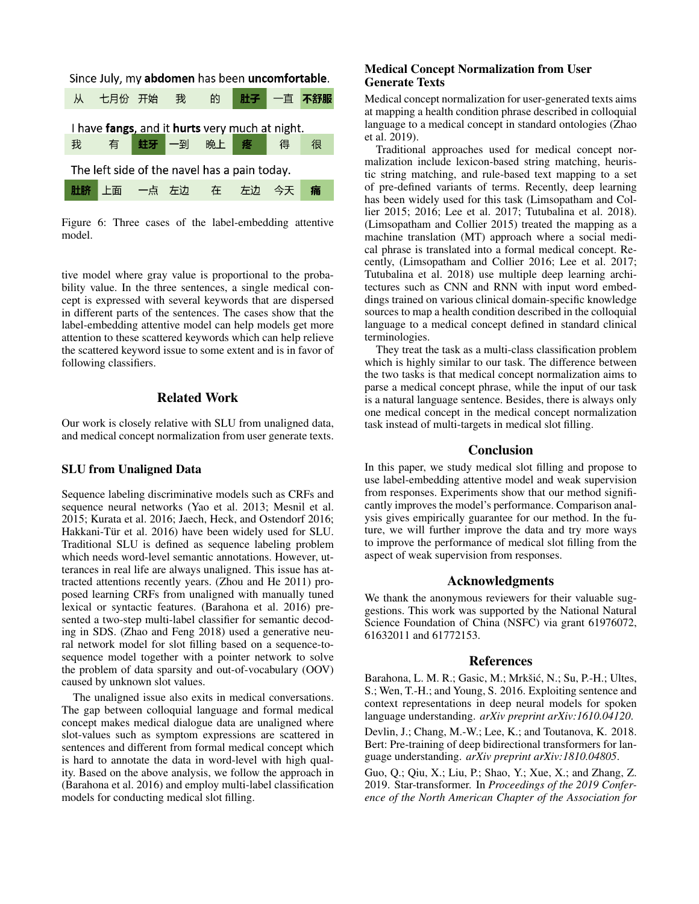

Figure 6: Three cases of the label-embedding attentive model.

tive model where gray value is proportional to the probability value. In the three sentences, a single medical concept is expressed with several keywords that are dispersed in different parts of the sentences. The cases show that the label-embedding attentive model can help models get more attention to these scattered keywords which can help relieve the scattered keyword issue to some extent and is in favor of following classifiers.

# Related Work

Our work is closely relative with SLU from unaligned data, and medical concept normalization from user generate texts.

### SLU from Unaligned Data

Sequence labeling discriminative models such as CRFs and sequence neural networks (Yao et al. 2013; Mesnil et al. 2015; Kurata et al. 2016; Jaech, Heck, and Ostendorf 2016; Hakkani-Tür et al. 2016) have been widely used for SLU. Traditional SLU is defined as sequence labeling problem which needs word-level semantic annotations. However, utterances in real life are always unaligned. This issue has attracted attentions recently years. (Zhou and He 2011) proposed learning CRFs from unaligned with manually tuned lexical or syntactic features. (Barahona et al. 2016) presented a two-step multi-label classifier for semantic decoding in SDS. (Zhao and Feng 2018) used a generative neural network model for slot filling based on a sequence-tosequence model together with a pointer network to solve the problem of data sparsity and out-of-vocabulary (OOV) caused by unknown slot values.

The unaligned issue also exits in medical conversations. The gap between colloquial language and formal medical concept makes medical dialogue data are unaligned where slot-values such as symptom expressions are scattered in sentences and different from formal medical concept which is hard to annotate the data in word-level with high quality. Based on the above analysis, we follow the approach in (Barahona et al. 2016) and employ multi-label classification models for conducting medical slot filling.

# Medical Concept Normalization from User Generate Texts

Medical concept normalization for user-generated texts aims at mapping a health condition phrase described in colloquial language to a medical concept in standard ontologies (Zhao et al. 2019).

Traditional approaches used for medical concept normalization include lexicon-based string matching, heuristic string matching, and rule-based text mapping to a set of pre-defined variants of terms. Recently, deep learning has been widely used for this task (Limsopatham and Collier 2015; 2016; Lee et al. 2017; Tutubalina et al. 2018). (Limsopatham and Collier 2015) treated the mapping as a machine translation (MT) approach where a social medical phrase is translated into a formal medical concept. Recently, (Limsopatham and Collier 2016; Lee et al. 2017; Tutubalina et al. 2018) use multiple deep learning architectures such as CNN and RNN with input word embeddings trained on various clinical domain-specific knowledge sources to map a health condition described in the colloquial language to a medical concept defined in standard clinical terminologies.

They treat the task as a multi-class classification problem which is highly similar to our task. The difference between the two tasks is that medical concept normalization aims to parse a medical concept phrase, while the input of our task is a natural language sentence. Besides, there is always only one medical concept in the medical concept normalization task instead of multi-targets in medical slot filling.

### **Conclusion**

In this paper, we study medical slot filling and propose to use label-embedding attentive model and weak supervision from responses. Experiments show that our method significantly improves the model's performance. Comparison analysis gives empirically guarantee for our method. In the future, we will further improve the data and try more ways to improve the performance of medical slot filling from the aspect of weak supervision from responses.

# Acknowledgments

We thank the anonymous reviewers for their valuable suggestions. This work was supported by the National Natural Science Foundation of China (NSFC) via grant 61976072, 61632011 and 61772153.

### References

Barahona, L. M. R.; Gasic, M.; Mrkšić, N.; Su, P.-H.; Ultes, S.; Wen, T.-H.; and Young, S. 2016. Exploiting sentence and context representations in deep neural models for spoken language understanding. *arXiv preprint arXiv:1610.04120*.

Devlin, J.; Chang, M.-W.; Lee, K.; and Toutanova, K. 2018. Bert: Pre-training of deep bidirectional transformers for language understanding. *arXiv preprint arXiv:1810.04805*.

Guo, Q.; Qiu, X.; Liu, P.; Shao, Y.; Xue, X.; and Zhang, Z. 2019. Star-transformer. In *Proceedings of the 2019 Conference of the North American Chapter of the Association for*